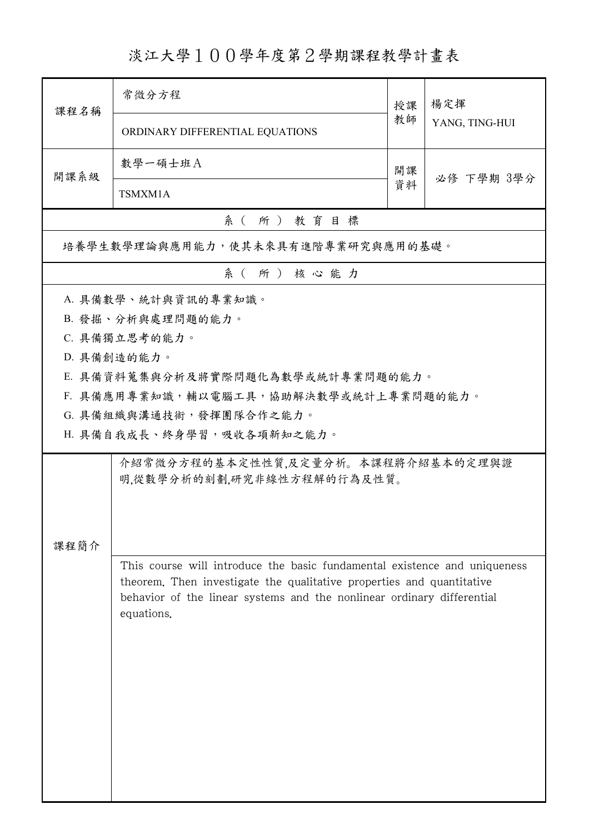## 淡江大學100學年度第2學期課程教學計畫表

| 課程名稱     | 常微分方程                                                                                                                                                                                                                                      | 授課 | 楊定揮<br>YANG, TING-HUI |  |  |
|----------|--------------------------------------------------------------------------------------------------------------------------------------------------------------------------------------------------------------------------------------------|----|-----------------------|--|--|
|          | ORDINARY DIFFERENTIAL EQUATIONS                                                                                                                                                                                                            | 教師 |                       |  |  |
| 開課系級     | 數學一碩士班A                                                                                                                                                                                                                                    | 開課 |                       |  |  |
|          | TSMXM1A                                                                                                                                                                                                                                    |    | 必修 下學期 3學分            |  |  |
| 系(所)教育目標 |                                                                                                                                                                                                                                            |    |                       |  |  |
|          | 培養學生數學理論與應用能力,使其未來具有進階專業研究與應用的基礎。                                                                                                                                                                                                          |    |                       |  |  |
| 系(所)核心能力 |                                                                                                                                                                                                                                            |    |                       |  |  |
|          | A. 具備數學、統計與資訊的專業知識。                                                                                                                                                                                                                        |    |                       |  |  |
|          | B. 發掘、分析與處理問題的能力。                                                                                                                                                                                                                          |    |                       |  |  |
|          | C. 具備獨立思考的能力。                                                                                                                                                                                                                              |    |                       |  |  |
|          | D. 具備創造的能力。                                                                                                                                                                                                                                |    |                       |  |  |
|          | E. 具備資料蒐集與分析及將實際問題化為數學或統計專業問題的能力。                                                                                                                                                                                                          |    |                       |  |  |
|          | F. 具備應用專業知識,輔以電腦工具,協助解決數學或統計上專業問題的能力。                                                                                                                                                                                                      |    |                       |  |  |
|          | G. 具備組織與溝通技術,發揮團隊合作之能力。                                                                                                                                                                                                                    |    |                       |  |  |
|          | H. 具備自我成長、終身學習,吸收各項新知之能力。                                                                                                                                                                                                                  |    |                       |  |  |
|          | 介紹常微分方程的基本定性性質,及定量分析。本課程將介紹基本的定理與證<br>明,從數學分析的刻劃,研究非線性方程解的行為及性質。                                                                                                                                                                           |    |                       |  |  |
| 課程簡介     | This course will introduce the basic fundamental existence and uniqueness<br>theorem. Then investigate the qualitative properties and quantitative<br>behavior of the linear systems and the nonlinear ordinary differential<br>equations. |    |                       |  |  |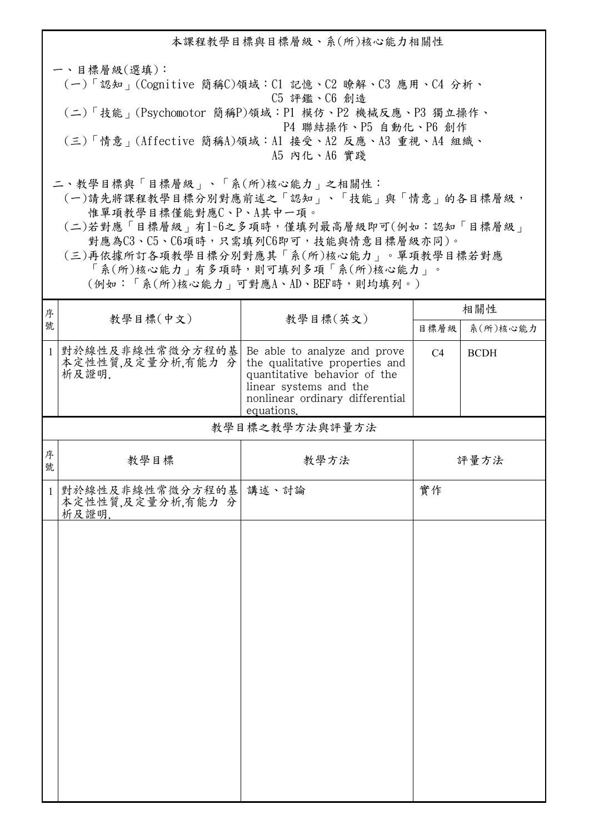本課程教學目標與目標層級、系(所)核心能力相關性 一、目標層級(選填): (一)「認知」(Cognitive 簡稱C)領域:C1 記憶、C2 瞭解、C3 應用、C4 分析、 C5 評鑑、C6 創造 (二)「技能」(Psychomotor 簡稱P)領域:P1 模仿、P2 機械反應、P3 獨立操作、 P4 聯結操作、P5 自動化、P6 創作 (三)「情意」(Affective 簡稱A)領域:A1 接受、A2 反應、A3 重視、A4 組織、 A5 內化、A6 實踐 二、教學目標與「目標層級」、「系(所)核心能力」之相關性:

 (一)請先將課程教學目標分別對應前述之「認知」、「技能」與「情意」的各目標層級, 惟單項教學目標僅能對應C、P、A其中一項。

 (二)若對應「目標層級」有1~6之多項時,僅填列最高層級即可(例如:認知「目標層級」 對應為C3、C5、C6項時,只需填列C6即可,技能與情意目標層級亦同)。

 (三)再依據所訂各項教學目標分別對應其「系(所)核心能力」。單項教學目標若對應 「系(所)核心能力」有多項時,則可填列多項「系(所)核心能力」。

(例如:「系(所)核心能力」可對應A、AD、BEF時,則均填列。)

| 序            | 教學目標(中文)                                           | 教學目標(英文)                                                                                                                                                                  | 相關性            |             |
|--------------|----------------------------------------------------|---------------------------------------------------------------------------------------------------------------------------------------------------------------------------|----------------|-------------|
| 號            |                                                    |                                                                                                                                                                           | 目標層級           | 系(所)核心能力    |
| $\mathbf{1}$ | 對於線性及非線性常微分方程的基<br>本定性性質,及定量分析,有能力分<br>析及證明.       | Be able to analyze and prove<br>the qualitative properties and<br>quantitative behavior of the<br>linear systems and the<br>nonlinear ordinary differential<br>equations. | C <sub>4</sub> | <b>BCDH</b> |
|              |                                                    | 教學目標之教學方法與評量方法                                                                                                                                                            |                |             |
| 序<br>號       | 教學目標                                               | 教學方法                                                                                                                                                                      |                | 評量方法        |
| $\mathbf{1}$ | 對於線性及非線性常微分方程的基 講述、討論<br>本定性性質,及定量分析,有能力分<br>析及證明. |                                                                                                                                                                           | 實作             |             |
|              |                                                    |                                                                                                                                                                           |                |             |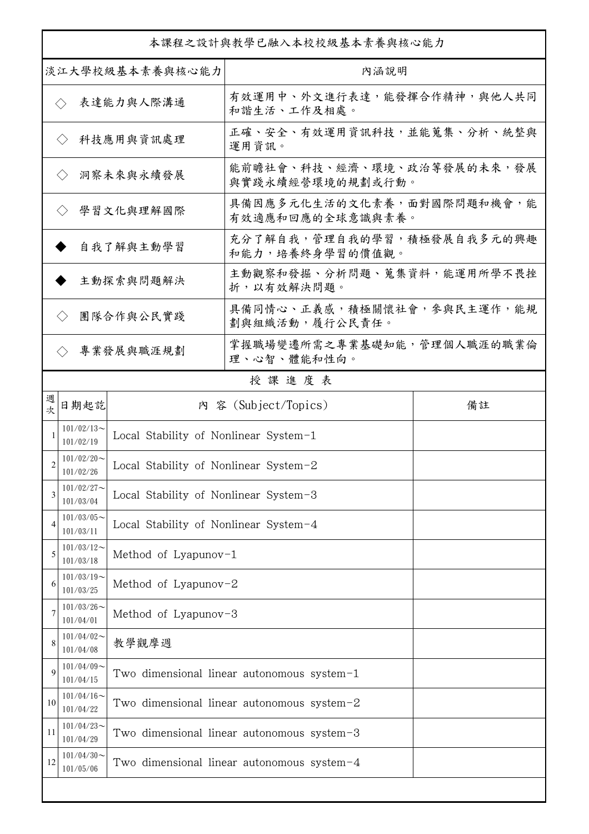| 本課程之設計與教學已融入本校校級基本素養與核心能力      |                            |                                       |                                                |    |  |
|--------------------------------|----------------------------|---------------------------------------|------------------------------------------------|----|--|
| 淡江大學校級基本素養與核心能力                |                            |                                       | 內涵說明                                           |    |  |
|                                | $\langle \rangle$          | 表達能力與人際溝通                             | 有效運用中、外文進行表達,能發揮合作精神,與他人共同<br>和諧生活、工作及相處。      |    |  |
|                                | $\langle \rangle$          | 科技應用與資訊處理                             | 正確、安全、有效運用資訊科技,並能蒐集、分析、統整與<br>運用資訊。            |    |  |
| 洞察未來與永續發展<br>$\langle \rangle$ |                            |                                       | 能前瞻社會、科技、經濟、環境、政治等發展的未來,發展<br>與實踐永續經營環境的規劃或行動。 |    |  |
|                                | $\langle \rangle$          | 學習文化與理解國際                             | 具備因應多元化生活的文化素養,面對國際問題和機會,能<br>有效適應和回應的全球意識與素養。 |    |  |
| 自我了解與主動學習                      |                            |                                       | 充分了解自我,管理自我的學習,積極發展自我多元的興趣<br>和能力,培養終身學習的價值觀。  |    |  |
| 主動探索與問題解決                      |                            |                                       | 主動觀察和發掘、分析問題、蒐集資料,能運用所學不畏挫<br>折,以有效解決問題。       |    |  |
|                                | $\langle \rangle$          | 團隊合作與公民實踐                             | 具備同情心、正義感,積極關懷社會,參與民主運作,能規<br>劃與組織活動, 履行公民責任。  |    |  |
|                                | $\langle \rangle$          | 專業發展與職涯規劃                             | 掌握職場變遷所需之專業基礎知能,管理個人職涯的職業倫<br>理、心智、體能和性向。      |    |  |
|                                |                            |                                       | 授課進度表                                          |    |  |
| 週<br>坎                         | 日期起訖                       |                                       | 內 容 (Subject/Topics)                           | 備註 |  |
|                                | $101/02/13$ ~<br>101/02/19 | Local Stability of Nonlinear System-1 |                                                |    |  |
| 2                              | $101/02/20$ ~<br>101/02/26 | Local Stability of Nonlinear System-2 |                                                |    |  |
| 3                              | $101/02/27$ ~<br>101/03/04 | Local Stability of Nonlinear System-3 |                                                |    |  |
| 4                              | $101/03/05$ ~<br>101/03/11 | Local Stability of Nonlinear System-4 |                                                |    |  |
| 5                              | $101/03/12$ ~<br>101/03/18 | Method of Lyapunov-1                  |                                                |    |  |
| 6                              | $101/03/19$ ~<br>101/03/25 | Method of Lyapunov-2                  |                                                |    |  |
| 7                              | $101/03/26$ ~<br>101/04/01 | Method of Lyapunov-3                  |                                                |    |  |
| 8                              | $101/04/02$ ~<br>101/04/08 | 教學觀摩週                                 |                                                |    |  |
| 9                              | $101/04/09$ ~<br>101/04/15 |                                       | Two dimensional linear autonomous system $-1$  |    |  |
| 10                             | $101/04/16$ ~<br>101/04/22 |                                       | Two dimensional linear autonomous system-2     |    |  |
| 11                             | $101/04/23$ ~<br>101/04/29 |                                       | Two dimensional linear autonomous system-3     |    |  |
| 12                             | $101/04/30$ ~<br>101/05/06 |                                       | Two dimensional linear autonomous system-4     |    |  |
|                                |                            |                                       |                                                |    |  |